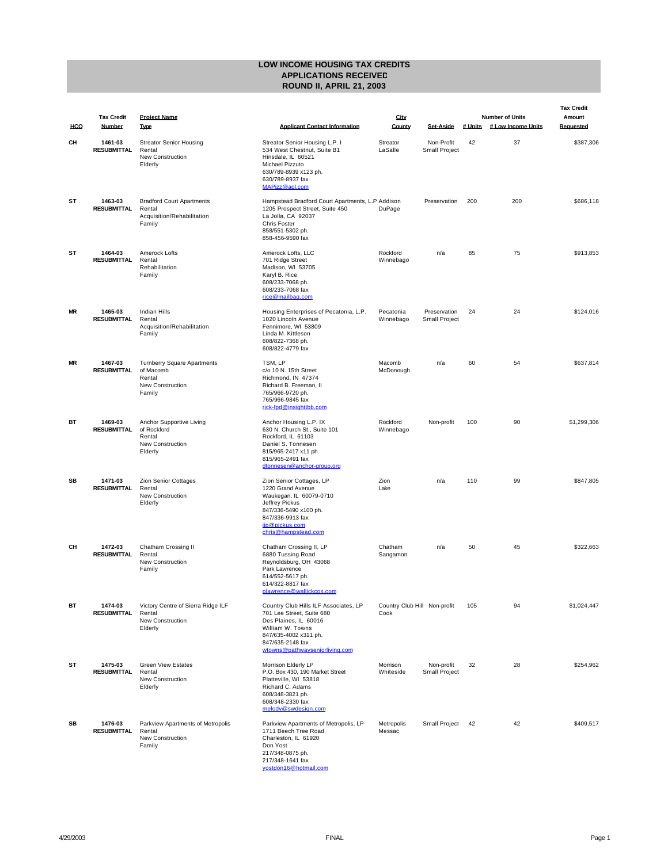|           |                               |                                                                                                |                                                                                                                                                                                                |                                      |                                    |         |                                              | <b>Tax Credit</b>   |
|-----------|-------------------------------|------------------------------------------------------------------------------------------------|------------------------------------------------------------------------------------------------------------------------------------------------------------------------------------------------|--------------------------------------|------------------------------------|---------|----------------------------------------------|---------------------|
| HCO       | <b>Tax Credit</b><br>Number   | <b>Project Name</b><br>Type                                                                    | <b>Applicant Contact Information</b>                                                                                                                                                           | City<br>County                       | <b>Set Aside</b>                   | # Units | <b>Number of Units</b><br># Low Income Units | Amount<br>Reauested |
| CН        | 1461-03<br><b>RESUBMITTAL</b> | <b>Streator Senior Housing</b><br>Rental<br>New Construction<br>Elderly                        | Streator Senior Housing L.P. I<br>534 West Chestnut, Suite B1<br>Hinsdale, IL 60521<br>Michael Pizzuto<br>630/789-8939 x123 ph.<br>630/789-8937 fax<br>MAPizz@aol.com                          | Streator<br>LaSalle                  | Non-Profit<br><b>Small Project</b> | 42      | 37                                           | \$387,306           |
| SΤ        | 1463-03<br><b>RESUBMITTAL</b> | <b>Bradford Court Apartments</b><br>Rental<br>Acquisition/Rehabilitation<br>Family             | Hampstead Bradford Court Apartments, L.P Addison<br>1205 Prospect Street, Suite 450<br>La Jolla, CA 92037<br><b>Chris Foster</b><br>858/551-5302 ph.<br>858-456-9590 fax                       | DuPage                               | Preservation                       | 200     | 200                                          | \$686,118           |
| SТ        | 1464-03<br>RESUBMITTAL        | Amerock Lofts<br>Rental<br>Rehabilitation<br>Family                                            | Amerock Lofts, LLC<br>701 Ridge Street<br>Madison, WI 53705<br>Karyl B. Rice<br>608/233-7068 ph.<br>608/233-7068 fax<br>rice@mailbag.com                                                       | Rockford<br>Winnebago                | n/a                                | 85      | 75                                           | \$913.853           |
| <b>MR</b> | 1465-03<br>RESUBMITTAL        | <b>Indian Hills</b><br>Rental<br>Acquisition/Rehabilitation<br>Family                          | Housing Enterprises of Pecatonia, L.P.<br>1020 Lincoln Avenue<br>Fennimore, WI 53809<br>Linda M. Kittleson<br>608/822-7368 ph.<br>608/822-4779 fax                                             | Pecatonia<br>Winnebago               | Preservation<br>Small Project      | 24      | 24                                           | \$124,016           |
| <b>MR</b> | 1467-03<br><b>RESUBMITTAL</b> | <b>Turnberry Square Apartments</b><br>of Macomb<br>Rental<br><b>New Construction</b><br>Family | TSM, LP<br>c/o 10 N. 15th Street<br>Richmond, IN 47374<br>Richard B. Freeman, II<br>765/966-9720 ph.<br>765/966-9845 fax<br>rick-fpd@insighttbb.com                                            | Macomb<br>McDonough                  | n/a                                | 60      | 54                                           | \$637,814           |
| BT        | 1469-03<br>RESUBMITTAL        | Anchor Supportive Living<br>of Rockford<br>Rental<br><b>New Construction</b><br>Elderly        | Anchor Housing L.P. IX<br>630 N. Church St., Suite 101<br>Rockford, IL 61103<br>Daniel S. Tonnesen<br>815/965-2417 x11 ph.<br>815/965-2491 fax<br>dtonnesen@anchor-group.org                   | Rockford<br>Winnebago                | Non-profit                         | 100     | 90                                           | \$1,299,306         |
| SB        | 1471-03<br><b>RESUBMITTAL</b> | Zion Senior Cottages<br>Rental<br>New Construction<br>Elderly                                  | Zion Senior Cottages, LP<br>1220 Grand Avenue<br>Waukegan, IL 60079-0710<br>Jeffrey Pickus<br>847/336-5490 x100 ph.<br>847/336-9913 fax<br>jip@pickus.com<br>chris@hampstead.com               | Zion<br>Lake                         | n/a                                | 110     | 99                                           | \$847,805           |
| CН        | 1472-03<br>RESUBMITTAL        | Chatham Crossing II<br>Rental<br><b>New Construction</b><br>Family                             | Chatham Crossing II, LP<br>6880 Tussing Road<br>Reynoldsburg, OH 43068<br>Park Lawrence<br>614/552-5617 ph.<br>614/322-8817 fax<br>plawrence@wallickcos.com                                    | Chatham<br>Sangamon                  | n/a                                | 50      | 45                                           | \$322,663           |
| ВT        | 1474-03<br>RESUBMITTAL        | Victory Centre of Sierra Ridge ILF<br>Rental<br><b>New Construction</b><br>Elderly             | Country Club Hills ILF Associates, LP<br>701 Lee Street, Suite 680<br>Des Plaines, IL 60016<br>William W. Towns<br>847/635-4002 x311 ph.<br>847/635-2148 fax<br>wtowns@pathwayseniorliving.com | Country Club Hill Non-profit<br>Cook |                                    | 105     | 94                                           | \$1,024,447         |
| SТ        | 1475-03<br>RESUBMITTAL        | <b>Green View Estates</b><br>Rental<br><b>New Construction</b><br>Elderly                      | Morrison Elderly LP<br>P.O. Box 430, 190 Market Street<br>Platteville, WI 53818<br>Richard C. Adams<br>608/348-3821 ph.<br>608/348-2330 fax<br>melody@swdesign.com                             | Morrison<br>Whiteside                | Non-profit<br><b>Small Project</b> | 32      | 28                                           | \$254.962           |
| SB        | 1476-03<br>RESUBMITTAL        | Parkview Apartments of Metropolis<br>Rental<br><b>New Construction</b><br>Family               | Parkview Apartments of Metropolis, LP<br>1711 Beech Tree Road<br>Charleston, IL 61920<br>Don Yost<br>217/348-0875 ph.<br>217/348-1641 fax<br>vostdon16@hotmail.com                             | Metropolis<br>Messac                 | Small Project                      | 42      | 42                                           | \$409.517           |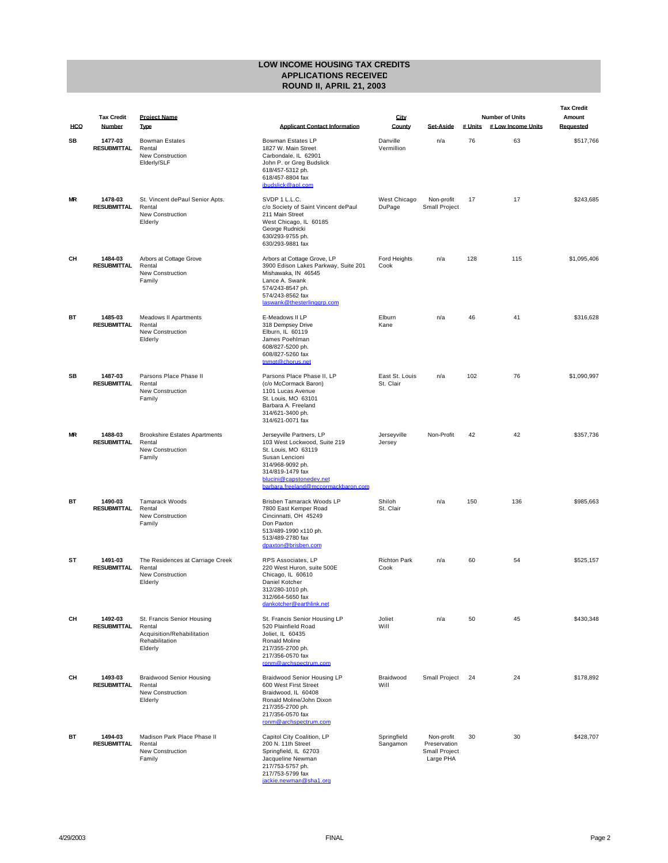|           |                               |                                                                                                 |                                                                                                                                                                                                             |                             |                                                          |         |                                              | <b>Tax Credit</b>   |
|-----------|-------------------------------|-------------------------------------------------------------------------------------------------|-------------------------------------------------------------------------------------------------------------------------------------------------------------------------------------------------------------|-----------------------------|----------------------------------------------------------|---------|----------------------------------------------|---------------------|
| HCO       | <b>Tax Credit</b><br>Number   | <b>Project Name</b><br>Type                                                                     | <b>Applicant Contact Information</b>                                                                                                                                                                        | City<br>County              | <b>Set-Aside</b>                                         | # Units | <b>Number of Units</b><br># Low Income Units | Amount<br>Requested |
| SB        | 1477-03<br>RESUBMITTAL        | <b>Bowman Estates</b><br>Rental<br><b>New Construction</b><br>Elderly/SLF                       | Bowman Estates LP<br>1827 W. Main Street<br>Carbondale, IL 62901<br>John P. or Greg Budslick<br>618/457-5312 ph.<br>618/457-8804 fax<br>ibudslick@aol.com                                                   | Danville<br>Vermillion      | n/a                                                      | 76      | 63                                           | \$517,766           |
| <b>MR</b> | 1478-03<br>RESUBMITTAL        | St. Vincent dePaul Senior Apts.<br>Rental<br><b>New Construction</b><br>Elderly                 | SVDP 1 L.L.C.<br>c/o Society of Saint Vincent dePaul<br>211 Main Street<br>West Chicago, IL 60185<br>George Rudnicki<br>630/293-9755 ph.<br>630/293-9881 fax                                                | West Chicago<br>DuPage      | Non-profit<br><b>Small Project</b>                       | 17      | 17                                           | \$243,685           |
| CН        | 1484-03<br>RESUBMITTAL        | Arbors at Cottage Grove<br>Rental<br><b>New Construction</b><br>Family                          | Arbors at Cottage Grove, LP<br>3900 Edison Lakes Parkway, Suite 201<br>Mishawaka, IN 46545<br>Lance A. Swank<br>574/243-8547 ph.<br>574/243-8562 fax<br>laswank@thesterlinggrp.com                          | Ford Heights<br>Cook        | n/a                                                      | 128     | 115                                          | \$1,095,406         |
| BT        | 1485-03<br>RESUBMITTAL        | <b>Meadows II Apartments</b><br>Rental<br><b>New Construction</b><br>Elderly                    | E-Meadows II LP<br>318 Dempsey Drive<br>Elburn, IL 60119<br>James Poehlman<br>608/827-5200 ph.<br>608/827-5260 fax<br>tnmgt@chorus.net                                                                      | Elburn<br>Kane              | n/a                                                      | 46      | 41                                           | \$316,628           |
| SB        | 1487-03<br>RESUBMITTAL        | Parsons Place Phase II<br>Rental<br><b>New Construction</b><br>Family                           | Parsons Place Phase II, LP<br>(c/o McCormack Baron)<br>1101 Lucas Avenue<br>St. Louis, MO 63101<br>Barbara A. Freeland<br>314/621-3400 ph.<br>314/621-0071 fax                                              | East St. Louis<br>St. Clair | n/a                                                      | 102     | 76                                           | \$1,090,997         |
| <b>MR</b> | 1488-03<br>RESUBMITTAL        | <b>Brookshire Estates Apartments</b><br>Rental<br><b>New Construction</b><br>Family             | Jerseyville Partners, LP<br>103 West Lockwood, Suite 219<br>St. Louis, MO 63119<br>Susan Lencioni<br>314/968-9092 ph.<br>314/819-1479 fax<br>blucini@capstonedev.net<br>barbara.freeland@mccormackbaron.com | Jerseyville<br>Jersey       | Non-Profit                                               | 42      | 42                                           | \$357,736           |
| BT        | 1490-03<br>RESUBMITTAL        | <b>Tamarack Woods</b><br>Rental<br>New Construction<br>Family                                   | Brisben Tamarack Woods LP<br>7800 East Kemper Road<br>Cincinnatti, OH 45249<br>Don Paxton<br>513/489-1990 x110 ph.<br>513/489-2780 fax<br>dpaxton@brisben.com                                               | Shiloh<br>St. Clair         | n/a                                                      | 150     | 136                                          | \$985,663           |
| SΤ        | 1491-03<br><b>RESUBMITTAL</b> | The Residences at Carriage Creek<br>Rental<br>New Construction<br>Elderly                       | RPS Associates, LP<br>220 West Huron, suite 500E<br>Chicago, IL 60610<br>Daniel Kotcher<br>312/280-1010 ph.<br>312/664-5650 fax<br>dankotcher@earthlink.net                                                 | <b>Richton Park</b><br>Cook | n/a                                                      | 60      | 54                                           | \$525,157           |
| CН        | 1492-03<br><b>RESUBMITTAL</b> | St. Francis Senior Housing<br>Rental<br>Acquisition/Rehabilitation<br>Rehabilitation<br>Elderly | St. Francis Senior Housing LP<br>520 Plainfield Road<br>Joliet, IL 60435<br>Ronald Moline<br>217/355-2700 ph.<br>217/356-0570 fax<br>ronm@archspectrum.com                                                  | Joliet<br>Will              | n/a                                                      | 50      | 45                                           | \$430,348           |
| CН        | 1493-03<br><b>RESUBMITTAL</b> | <b>Braidwood Senior Housing</b><br>Rental<br>New Construction<br>Elderly                        | Braidwood Senior Housing LP<br>600 West First Street<br>Braidwood, IL 60408<br>Ronald Moline/John Dixon<br>217/355-2700 ph.<br>217/356-0570 fax<br>ronm@archspectrum.com                                    | Braidwood<br>Will           | Small Project                                            | 24      | 24                                           | \$178,892           |
| BT        | 1494-03<br><b>RESUBMITTAL</b> | Madison Park Place Phase II<br>Rental<br>New Construction<br>Family                             | Capitol City Coalition, LP<br>200 N. 11th Street<br>Springfield, IL 62703<br>Jacqueline Newman<br>217/753-5757 ph.<br>217/753-5799 fax<br>jackie.newman@sha1.org                                            | Springfield<br>Sangamon     | Non-profit<br>Preservation<br>Small Project<br>Large PHA | 30      | 30                                           | \$428,707           |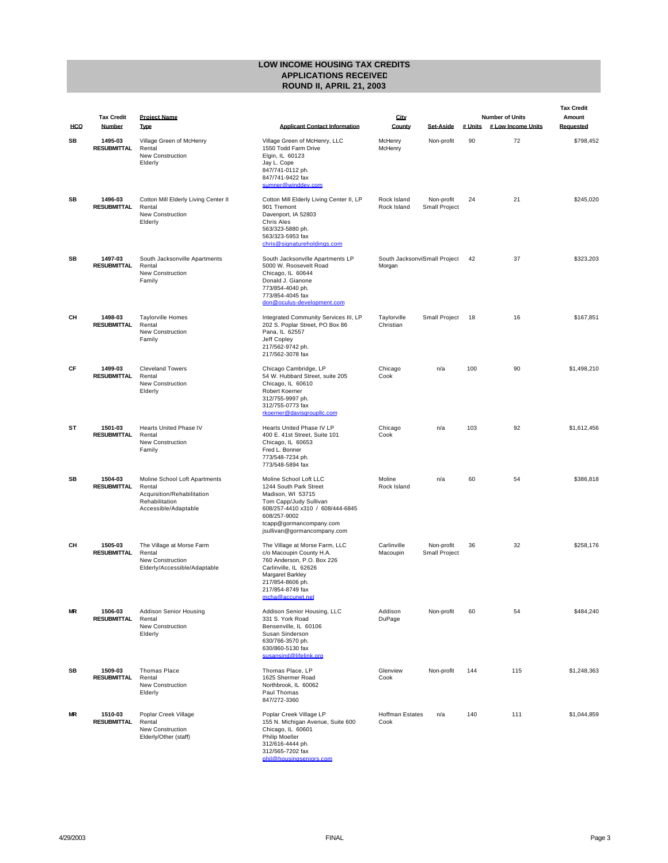|           |                               |                                                                                                                 |                                                                                                                                                                                                               |                                         |                                    |         |                                              | <b>Tax Credit</b>   |
|-----------|-------------------------------|-----------------------------------------------------------------------------------------------------------------|---------------------------------------------------------------------------------------------------------------------------------------------------------------------------------------------------------------|-----------------------------------------|------------------------------------|---------|----------------------------------------------|---------------------|
| HCO       | <b>Tax Credit</b><br>Number   | <b>Project Name</b><br>Type                                                                                     | <b>Applicant Contact Information</b>                                                                                                                                                                          | City<br>County                          | <b>Set Aside</b>                   | # Units | <b>Number of Units</b><br># Low Income Units | Amount<br>Requested |
| SB        | 1495-03<br><b>RESUBMITTAL</b> | Village Green of McHenry<br>Rental<br>New Construction<br>Elderly                                               | Village Green of McHenry, LLC<br>1550 Todd Farm Drive<br>Elgin, IL 60123<br>Jay L. Cope<br>847/741-0112 ph.<br>847/741-9422 fax<br>sumner@winddev.com                                                         | McHenry<br>McHenry                      | Non-profit                         | 90      | 72                                           | \$798,452           |
| SB        | 1496-03<br><b>RESUBMITTAL</b> | Cotton Mill Elderly Living Center II<br>Rental<br>New Construction<br>Elderly                                   | Cotton Mill Elderly Living Center II, LP<br>901 Tremont<br>Davenport, IA 52803<br><b>Chris Ales</b><br>563/323-5880 ph.<br>563/323-5953 fax<br>chris@signatureholdings.com                                    | Rock Island<br>Rock Island              | Non-profit<br><b>Small Project</b> | 24      | 21                                           | \$245,020           |
| SB        | 1497-03<br><b>RESUBMITTAL</b> | South Jacksonville Apartments<br>Rental<br>New Construction<br>Family                                           | South Jacksonville Apartments LP<br>5000 W. Roosevelt Road<br>Chicago, IL 60644<br>Donald J. Gianone<br>773/854-4040 ph.<br>773/854-4045 fax<br>don@oculus-development.com                                    | South Jacksonvi Small Project<br>Morgan |                                    | 42      | 37                                           | \$323,203           |
| CН        | 1498-03<br><b>RESUBMITTAL</b> | <b>Taylorville Homes</b><br>Rental<br>New Construction<br>Family                                                | Integrated Community Services III, LP<br>202 S. Poplar Street, PO Box 86<br>Pana, IL 62557<br>Jeff Copley<br>217/562-9742 ph.<br>217/562-3078 fax                                                             | Taylorville<br>Christian                | Small Project                      | 18      | 16                                           | \$167,851           |
| CF        | 1499-03<br><b>RESUBMITTAL</b> | <b>Cleveland Towers</b><br>Rental<br><b>New Construction</b><br>Elderly                                         | Chicago Cambridge, LP<br>54 W. Hubbard Street, suite 205<br>Chicago, IL 60610<br>Robert Koerner<br>312/755-9997 ph.<br>312/755-0773 fax<br>rkoerner@davisgroupllc.com                                         | Chicago<br>Cook                         | n/a                                | 100     | 90                                           | \$1,498,210         |
| SТ        | 1501-03<br><b>RESUBMITTAL</b> | Hearts United Phase IV<br>Rental<br>New Construction<br>Family                                                  | Hearts United Phase IV LP<br>400 E. 41st Street, Suite 101<br>Chicago, IL 60653<br>Fred L. Bonner<br>773/548-7234 ph.<br>773/548-5894 fax                                                                     | Chicago<br>Cook                         | n/a                                | 103     | 92                                           | \$1,612,456         |
| SB        | 1504-03<br><b>RESUBMITTAL</b> | Moline School Loft Apartments<br>Rental<br>Acquisition/Rehabilitation<br>Rehabilitation<br>Accessible/Adaptable | Moline School Loft LLC<br>1244 South Park Street<br>Madison, WI 53715<br>Tom Capp/Judy Sullivan<br>608/257-4410 x310 / 608/444-6845<br>608/257-9002<br>tcapp@gormancompany.com<br>jsullivan@gormancompany.com | Moline<br>Rock Island                   | n/a                                | 60      | 54                                           | \$386,818           |
| CН        | 1505-03<br><b>RESUBMITTAL</b> | The Village at Morse Farm<br>Rental<br>New Construction<br>Elderly/Accessible/Adaptable                         | The Village at Morse Farm, LLC<br>c/o Macoupin County H.A.<br>760 Anderson, P.O. Box 226<br>Carlinville, IL 62626<br>Margaret Barkley<br>217/854-8606 ph.<br>217/854-8749 fax<br><u>mcha@accunet.net</u>      | Carlinville<br>Macoupin                 | Non-profit<br><b>Small Project</b> | 36      | 32                                           | \$258.176           |
| <b>MR</b> | 1506-03<br><b>RESUBMITTAL</b> | Addison Senior Housing<br>Rental<br>New Construction<br>Elderly                                                 | Addison Senior Housing, LLC<br>331 S. York Road<br>Bensenville, IL 60106<br>Susan Sinderson<br>630/766-3570 ph.<br>630/860-5130 fax<br>susansind@lifelink.org                                                 | Addison<br>DuPage                       | Non-profit                         | 60      | 54                                           | \$484,240           |
| SB        | 1509-03<br><b>RESUBMITTAL</b> | <b>Thomas Place</b><br>Rental<br>New Construction<br>Elderly                                                    | Thomas Place, LP<br>1625 Shermer Road<br>Northbrook, IL 60062<br>Paul Thomas<br>847/272-3360                                                                                                                  | Glenview<br>Cook                        | Non-profit                         | 144     | 115                                          | \$1,248,363         |
| ΜR        | 1510-03<br><b>RESUBMITTAL</b> | Poplar Creek Village<br>Rental<br>New Construction<br>Elderly/Other (staff)                                     | Poplar Creek Village LP<br>155 N. Michigan Avenue, Suite 600<br>Chicago, IL 60601<br>Philip Moeller<br>312/616-4444 ph.<br>312/565-7202 fax<br>phil@housingseniors.com                                        | <b>Hoffman Estates</b><br>Cook          | n/a                                | 140     | 111                                          | \$1,044,859         |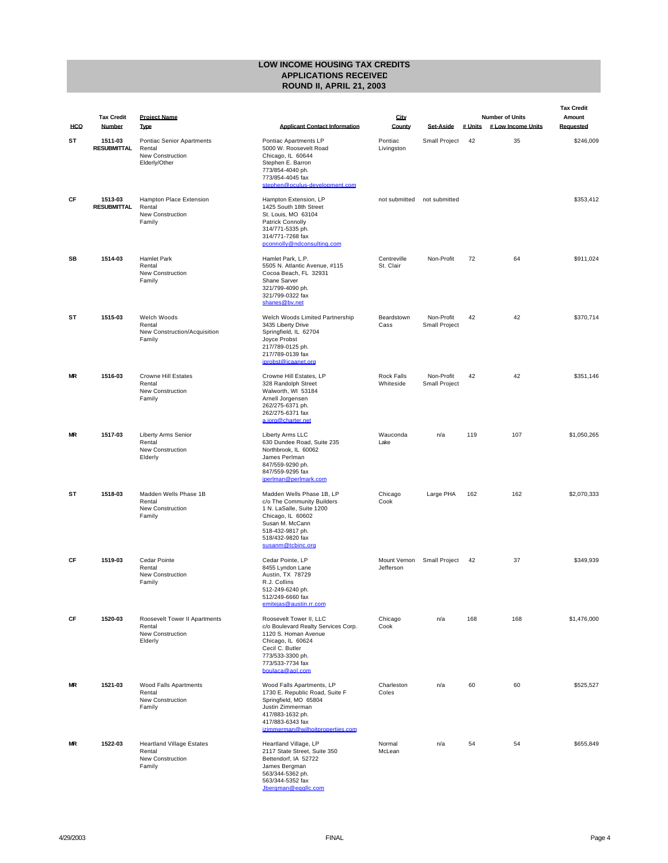|           |                             |                                                                                 |                                                                                                                                                                                           |                                |                                    |         |                                              | <b>Tax Credit</b>   |
|-----------|-----------------------------|---------------------------------------------------------------------------------|-------------------------------------------------------------------------------------------------------------------------------------------------------------------------------------------|--------------------------------|------------------------------------|---------|----------------------------------------------|---------------------|
| HCO       | <b>Tax Credit</b><br>Number | <b>Project Name</b><br><b>Type</b>                                              | <b>Applicant Contact Information</b>                                                                                                                                                      | City<br>County                 | <b>Set Aside</b>                   | # Units | <b>Number of Units</b><br># Low Income Units | Amount<br>Requested |
| ST        | 1511-03<br>RESUBMITTAL      | <b>Pontiac Senior Apartments</b><br>Rental<br>New Construction<br>Elderly/Other | Pontiac Apartments LP<br>5000 W. Roosevelt Road<br>Chicago, IL 60644<br>Stephen E. Barron<br>773/854-4040 ph.<br>773/854-4045 fax<br>stephen@oculus-development.com                       | Pontiac<br>Livingston          | Small Project                      | 42      | 35                                           | \$246,009           |
| CF        | 1513-03<br>RESUBMITTAL      | Hampton Place Extension<br>Rental<br><b>New Construction</b><br>Family          | Hampton Extension, LP<br>1425 South 18th Street<br>St. Louis, MO 63104<br>Patrick Connolly<br>314/771-5335 ph.<br>314/771-7268 fax<br>pconnolly@ndconsulting.com                          | not submitted                  | not submitted                      |         |                                              | \$353,412           |
| SB        | 1514-03                     | <b>Hamlet Park</b><br>Rental<br><b>New Construction</b><br>Family               | Hamlet Park, L.P.<br>5505 N. Atlantic Avenue, #115<br>Cocoa Beach, FL 32931<br>Shane Sarver<br>321/799-4090 ph.<br>321/799-0322 fax<br>shanes@bv.net                                      | Centreville<br>St. Clair       | Non-Profit                         | 72      | 64                                           | \$911.024           |
| SТ        | 1515-03                     | Welch Woods<br>Rental<br>New Construction/Acquisition<br>Family                 | Welch Woods Limited Partnership<br>3435 Liberty Drive<br>Springfield, IL 62704<br>Joyce Probst<br>217/789-0125 ph.<br>217/789-0139 fax<br>iprobst@icaanet.org                             | Beardstown<br>Cass             | Non-Profit<br><b>Small Project</b> | 42      | 42                                           | \$370,714           |
| <b>MR</b> | 1516-03                     | <b>Crowne Hill Estates</b><br>Rental<br><b>New Construction</b><br>Family       | Crowne Hill Estates, LP<br>328 Randolph Street<br>Walworth, WI 53184<br>Arnell Jorgensen<br>262/275-6371 ph.<br>262/275-6371 fax<br>a.jorg@charter.net                                    | <b>Rock Falls</b><br>Whiteside | Non-Profit<br><b>Small Project</b> | 42      | 42                                           | \$351.146           |
| <b>MR</b> | 1517-03                     | <b>Liberty Arms Senior</b><br>Rental<br><b>New Construction</b><br>Elderly      | Liberty Arms LLC<br>630 Dundee Road, Suite 235<br>Northbrook, IL 60062<br>James Perlman<br>847/559-9290 ph.<br>847/559-9295 fax<br>jperlman@perlmark.com                                  | Wauconda<br>Lake               | n/a                                | 119     | 107                                          | \$1,050,265         |
| SТ        | 1518-03                     | Madden Wells Phase 1B<br>Rental<br><b>New Construction</b><br>Family            | Madden Wells Phase 1B, LP<br>c/o The Community Builders<br>1 N. LaSalle, Suite 1200<br>Chicago, IL 60602<br>Susan M. McCann<br>518-432-9817 ph.<br>518/432-9820 fax<br>susanm@tcbinc.org  | Chicago<br>Cook                | Large PHA                          | 162     | 162                                          | \$2,070,333         |
| CF        | 1519-03                     | Cedar Pointe<br>Rental<br>New Construction<br>Family                            | Cedar Pointe, LP<br>8455 Lyndon Lane<br>Austin, TX 78729<br>R.J. Collins<br>512-249-6240 ph.<br>512/249-6660 fax<br>emitejas@austin.rr.com                                                | Mount Vernon<br>Jefferson      | Small Project                      | 42      | 37                                           | \$349,939           |
| CF        | 1520-03                     | Roosevelt Tower II Apartments<br>Rental<br>New Construction<br>Elderly          | Roosevelt Tower II, LLC<br>c/o Boulevard Realty Services Corp.<br>1120 S. Homan Avenue<br>Chicago, IL 60624<br>Cecil C. Butler<br>773/533-3300 ph.<br>773/533-7734 fax<br>boulaca@aol.com | Chicago<br>Cook                | n/a                                | 168     | 168                                          | \$1,476,000         |
| ΜR        | 1521-03                     | Wood Falls Apartments<br>Rental<br><b>New Construction</b><br>Family            | Wood Falls Apartments, LP<br>1730 E. Republic Road, Suite F<br>Springfield, MO 65804<br>Justin Zimmerman<br>417/883-1632 ph.<br>417/883-6343 fax<br>izimmerman@wilhoitproperties.com      | Charleston<br>Coles            | n/a                                | 60      | 60                                           | \$525,527           |
| ΜR        | 1522-03                     | <b>Heartland Village Estates</b><br>Rental<br><b>New Construction</b><br>Family | Heartland Village, LP<br>2117 State Street, Suite 350<br>Bettendorf, IA 52722<br>James Bergman<br>563/344-5362 ph.<br>563/344-5352 fax<br>Jbergman@egglic.com                             | Normal<br>McLean               | n/a                                | 54      | 54                                           | \$655,849           |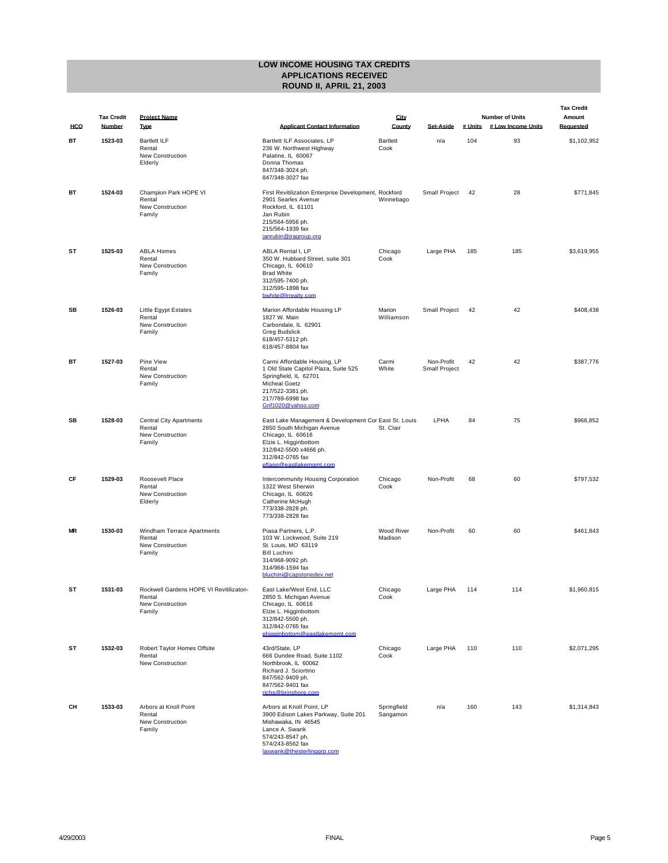|           |                             |                                                                                 |                                                                                                                                                                                                            |                         |                                    |         |                                              | <b>Tax Credit</b>   |
|-----------|-----------------------------|---------------------------------------------------------------------------------|------------------------------------------------------------------------------------------------------------------------------------------------------------------------------------------------------------|-------------------------|------------------------------------|---------|----------------------------------------------|---------------------|
| HCO       | <b>Tax Credit</b><br>Number | <b>Project Name</b><br><b>Type</b>                                              | <b>Applicant Contact Information</b>                                                                                                                                                                       | City<br>County          | <b>Set Aside</b>                   | # Units | <b>Number of Units</b><br># Low Income Units | Amount<br>Reauested |
| вт        | 1523-03                     | <b>Bartlett ILF</b><br>Rental<br><b>New Construction</b><br>Elderly             | Bartlett ILF Associates, LP<br>236 W. Northwest Highway<br>Palatine, IL 60067<br>Donna Thomas<br>847/348-3024 ph.<br>847/348-3027 fax                                                                      | <b>Bartlett</b><br>Cook | n/a                                | 104     | 93                                           | \$1,102,952         |
| BT        | 1524-03                     | Champion Park HOPE VI<br>Rental<br><b>New Construction</b><br>Family            | First Revitilization Enterprise Development, Rockford<br>2901 Searles Avenue<br>Rockford, IL 61101<br>Jan Rubin<br>215/564-5956 ph.<br>215/564-1939 fax<br>janrubin@iragroup.org                           | Winnebago               | Small Project                      | 42      | 28                                           | \$771,845           |
| SΤ        | 1525-03                     | <b>ABLA Homes</b><br>Rental<br><b>New Construction</b><br>Family                | ABLA Rental I, LP<br>350 W. Hubbard Street, suite 301<br>Chicago, IL 60610<br><b>Brad White</b><br>312/595-7400 ph.<br>312/595-1898 fax<br>bwhite@Irrealty.com                                             | Chicago<br>Cook         | Large PHA                          | 185     | 185                                          | \$3,619,955         |
| SB        | 1526-03                     | Little Egypt Estates<br>Rental<br>New Construction<br>Family                    | Marion Affordable Housing LP<br>1827 W. Main<br>Carbondale, IL 62901<br><b>Greg Budslick</b><br>618/457-5312 ph.<br>618/457-8804 fax                                                                       | Marion<br>Williamson    | Small Project                      | 42      | 42                                           | \$408,438           |
| BT        | 1527-03                     | Pine View<br>Rental<br><b>New Construction</b><br>Family                        | Carmi Affordable Housing, LP<br>1 Old State Capitol Plaza, Suite 525<br>Springfield, IL 62701<br>Micheal Goetz<br>217/522-3381 ph.<br>217/789-6998 fax<br>Grif1020@vahoo.com                               | Carmi<br>White          | Non-Profit<br><b>Small Project</b> | 42      | 42                                           | \$387,776           |
| SB        | 1528-03                     | <b>Central City Apartments</b><br>Rental<br><b>New Construction</b><br>Family   | East Lake Management & Development Cor East St. Louis<br>2850 South Michigan Avenue<br>Chicago, IL 60616<br>Elzie L. Higginbottom<br>312/842-5500 x4666 ph.<br>312/842-0765 fax<br>eflagg@eastlakemgmt.com | St. Clair               | LPHA                               | 84      | 75                                           | \$966,852           |
| CF        | 1529-03                     | Roosevelt Place<br>Rental<br><b>New Construction</b><br>Elderly                 | Intercommunity Housing Corporation<br>1322 West Sherwin<br>Chicago, IL 60626<br>Catherine McHugh<br>773/338-2828 ph.<br>773/338-2828 fax                                                                   | Chicago<br>Cook         | Non-Profit                         | 68      | 60                                           | \$797,532           |
| <b>MR</b> | 1530-03                     | Windham Terrace Apartments<br>Rental<br>New Construction<br>Family              | Piasa Partners, L.P.<br>103 W. Lockwood, Suite 219<br>St. Louis, MO 63119<br><b>Bill Luchini</b><br>314/968-9092 ph.<br>314/968-1594 fax<br>bluchini@capstonedev.net                                       | Wood River<br>Madison   | Non-Profit                         | 60      | 60                                           | \$461,843           |
| SТ        | 1531-03                     | Rockwell Gardens HOPE VI Revitilizaton-<br>Rental<br>New Construction<br>Family | East Lake/West End, LLC<br>2850 S. Michigan Avenue<br>Chicago, IL 60616<br>Elzie L. Higginbottom<br>312/842-5500 ph.<br>312/842-0765 fax<br>ehigginbottom@eastlakemgmt.com                                 | Chicago<br>Cook         | Large PHA                          | 114     | 114                                          | \$1,960,815         |
| ST        | 1532-03                     | Robert Taylor Homes Offsite<br>Rental<br><b>New Construction</b>                | 43rd/State, LP<br>666 Dundee Road, Suite 1102<br>Northbrook, IL 60062<br>Richard J. Sciortino<br>847/562-9409 ph.<br>847/562-9401 fax<br>richs@brinshore.com                                               | Chicago<br>Cook         | Large PHA                          | 110     | 110                                          | \$2,071,295         |
| CН        | 1533-03                     | Arbors at Knoll Point<br>Rental<br>New Construction<br>Family                   | Arbors at Knoll Point, LP<br>3900 Edison Lakes Parkway, Suite 201<br>Mishawaka, IN 46545<br>Lance A. Swank<br>574/243-8547 ph.<br>574/243-8562 fax<br>laswank@thesterlinggrp.com                           | Springfield<br>Sangamon | n/a                                | 160     | 143                                          | \$1,314,843         |